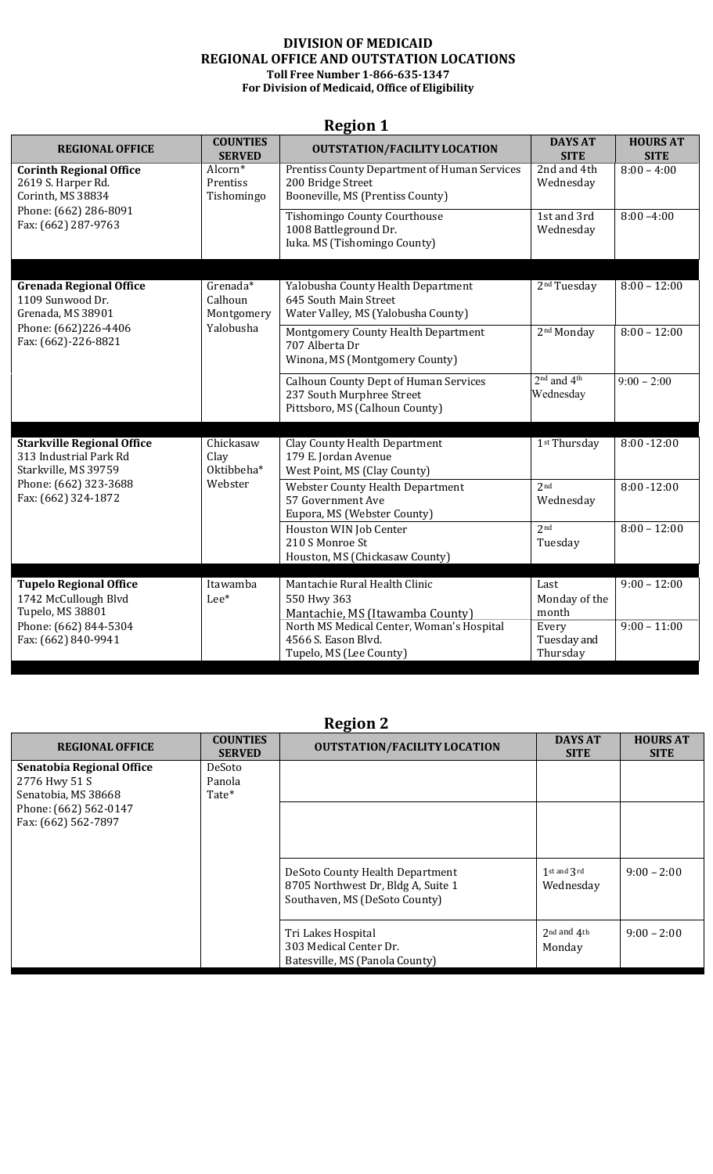#### **DIVISION OF MEDICAID REGIONAL OFFICE AND OUTSTATION LOCATIONS Toll Free Number 1-866-635-1347 For Division of Medicaid, Office of Eligibility**

| Region 1                                                                            |                                      |                                                                                                              |                               |                                |  |
|-------------------------------------------------------------------------------------|--------------------------------------|--------------------------------------------------------------------------------------------------------------|-------------------------------|--------------------------------|--|
| <b>REGIONAL OFFICE</b>                                                              | <b>COUNTIES</b><br><b>SERVED</b>     | <b>OUTSTATION/FACILITY LOCATION</b>                                                                          | <b>DAYS AT</b><br><b>SITE</b> | <b>HOURS AT</b><br><b>SITE</b> |  |
| <b>Corinth Regional Office</b><br>2619 S. Harper Rd.<br>Corinth, MS 38834           | Alcorn*<br>Prentiss<br>Tishomingo    | <b>Prentiss County Department of Human Services</b><br>200 Bridge Street<br>Booneville, MS (Prentiss County) | 2nd and 4th<br>Wednesday      | $8:00 - 4:00$                  |  |
| Phone: (662) 286-8091<br>Fax: (662) 287-9763                                        |                                      | <b>Tishomingo County Courthouse</b><br>1008 Battleground Dr.<br>Iuka. MS (Tishomingo County)                 | 1st and 3rd<br>Wednesday      | $8:00 - 4:00$                  |  |
| <b>Grenada Regional Office</b><br>1109 Sunwood Dr.<br>Grenada, MS 38901             | $G$ renada*<br>Calhoun<br>Montgomery | Yalobusha County Health Department<br>645 South Main Street<br>Water Valley, MS (Yalobusha County)           | 2 <sup>nd</sup> Tuesday       | $8:00 - 12:00$                 |  |
| Phone: (662)226-4406<br>Fax: (662)-226-8821                                         | Yalobusha                            | Montgomery County Health Department<br>707 Alberta Dr<br>Winona, MS (Montgomery County)                      | 2 <sup>nd</sup> Monday        | $8:00 - 12:00$                 |  |
|                                                                                     |                                      | <b>Calhoun County Dept of Human Services</b><br>237 South Murphree Street<br>Pittsboro, MS (Calhoun County)  | $2nd$ and $4th$<br>Wednesday  | $9:00 - 2:00$                  |  |
| <b>Starkville Regional Office</b><br>313 Industrial Park Rd<br>Starkville, MS 39759 | Chickasaw<br>Clay<br>Oktibbeha*      | <b>Clay County Health Department</b><br>179 E. Jordan Avenue<br>West Point, MS (Clay County)                 | 1 <sup>st</sup> Thursday      | $8:00 - 12:00$                 |  |
| Phone: (662) 323-3688<br>Fax: (662) 324-1872                                        | Webster                              | <b>Webster County Health Department</b><br>57 Government Ave<br>Eupora, MS (Webster County)                  | 2 <sub>nd</sub><br>Wednesday  | $8:00 - 12:00$                 |  |
|                                                                                     |                                      | Houston WIN Job Center<br>210 S Monroe St<br>Houston, MS (Chickasaw County)                                  | 2 <sub>nd</sub><br>Tuesday    | $8:00 - 12:00$                 |  |
|                                                                                     |                                      |                                                                                                              |                               |                                |  |
| <b>Tupelo Regional Office</b>                                                       | Itawamba                             | Mantachie Rural Health Clinic                                                                                | Last                          | $9:00 - 12:00$                 |  |
| 1742 McCullough Blvd<br>Tupelo, MS 38801                                            | Lee*                                 | 550 Hwy 363                                                                                                  | Monday of the<br>month        |                                |  |
| Phone: (662) 844-5304                                                               |                                      | Mantachie, MS (Itawamba County)<br>North MS Medical Center, Woman's Hospital                                 | Every                         | $9:00 - 11:00$                 |  |
| Fax: (662) 840-9941                                                                 |                                      | 4566 S. Eason Blvd.                                                                                          | Tuesday and                   |                                |  |
|                                                                                     |                                      | Tupelo, MS (Lee County)                                                                                      | Thursday                      |                                |  |

#### **Region 1**

| <b>REGIONAL OFFICE</b>                                                                                            | <b>COUNTIES</b><br><b>SERVED</b> | ັ<br><b>OUTSTATION/FACILITY LOCATION</b>                                                               | <b>DAYS AT</b><br><b>SITE</b>  | <b>HOURS AT</b><br><b>SITE</b> |
|-------------------------------------------------------------------------------------------------------------------|----------------------------------|--------------------------------------------------------------------------------------------------------|--------------------------------|--------------------------------|
| Senatobia Regional Office<br>2776 Hwy 51 S<br>Senatobia, MS 38668<br>Phone: (662) 562-0147<br>Fax: (662) 562-7897 | DeSoto<br>Panola<br>Tate*        |                                                                                                        |                                |                                |
|                                                                                                                   |                                  | DeSoto County Health Department<br>8705 Northwest Dr, Bldg A, Suite 1<br>Southaven, MS (DeSoto County) | $1$ st and $3$ rd<br>Wednesday | $9:00 - 2:00$                  |
|                                                                                                                   |                                  | Tri Lakes Hospital<br>303 Medical Center Dr.<br>Batesville, MS (Panola County)                         | 2nd and 4th<br>Monday          | $9:00 - 2:00$                  |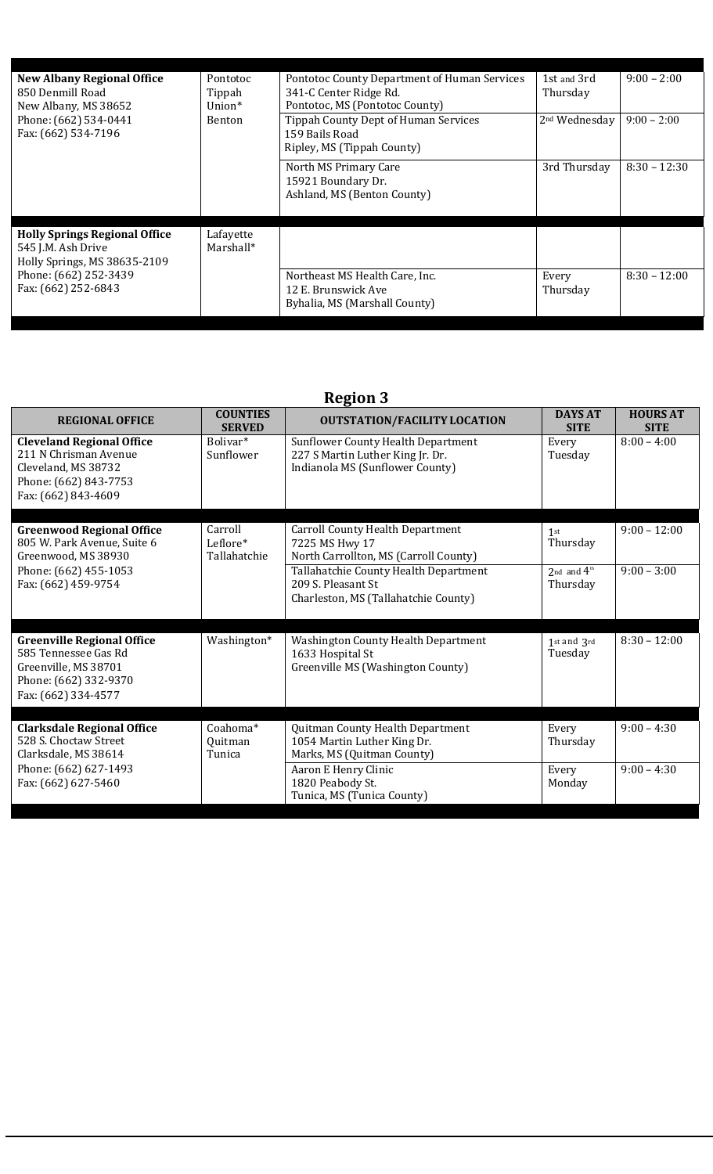| <b>New Albany Regional Office</b><br>850 Denmill Road<br>New Albany, MS 38652              | Pontotoc<br>Tippah<br>$Union*$ | Pontotoc County Department of Human Services<br>341-C Center Ridge Rd.<br>Pontotoc, MS (Pontotoc County) | 1st and 3rd<br>Thursday   | $9:00 - 2:00$  |
|--------------------------------------------------------------------------------------------|--------------------------------|----------------------------------------------------------------------------------------------------------|---------------------------|----------------|
| Phone: (662) 534-0441<br>Benton<br>Fax: (662) 534-7196                                     |                                | <b>Tippah County Dept of Human Services</b><br>159 Bails Road<br>Ripley, MS (Tippah County)              | 2 <sup>nd</sup> Wednesday | $9:00 - 2:00$  |
|                                                                                            |                                | North MS Primary Care<br>15921 Boundary Dr.<br>Ashland, MS (Benton County)                               | 3rd Thursday              | $8:30 - 12:30$ |
| <b>Holly Springs Regional Office</b><br>545 J.M. Ash Drive<br>Holly Springs, MS 38635-2109 | Lafayette<br>Marshall*         |                                                                                                          |                           |                |
| Phone: (662) 252-3439<br>Fax: (662) 252-6843                                               |                                | Northeast MS Health Care, Inc.<br>12 E. Brunswick Ave<br>Byhalia, MS (Marshall County)                   | Every<br>Thursday         | $8:30 - 12:00$ |

| <b>REGIONAL OFFICE</b>                                                                                                            | <b>COUNTIES</b><br><b>SERVED</b>    | <b>OUTSTATION/FACILITY LOCATION</b>                                                                              | <b>DAYS AT</b><br><b>SITE</b>       | <b>HOURS AT</b><br><b>SITE</b> |
|-----------------------------------------------------------------------------------------------------------------------------------|-------------------------------------|------------------------------------------------------------------------------------------------------------------|-------------------------------------|--------------------------------|
| <b>Cleveland Regional Office</b><br>211 N Chrisman Avenue<br>Cleveland, MS 38732<br>Phone: (662) 843-7753<br>Fax: (662) 843-4609  | Bolivar <sup>*</sup><br>Sunflower   | <b>Sunflower County Health Department</b><br>227 S Martin Luther King Jr. Dr.<br>Indianola MS (Sunflower County) | Every<br>Tuesday                    | $8:00 - 4:00$                  |
| <b>Greenwood Regional Office</b><br>805 W. Park Avenue, Suite 6<br>Greenwood, MS 38930                                            | Carroll<br>Leflore*<br>Tallahatchie | <b>Carroll County Health Department</b><br>7225 MS Hwy 17<br>North Carrollton, MS (Carroll County)               | 1st<br>Thursday                     | $9:00 - 12:00$                 |
| Phone: (662) 455-1053<br>Fax: (662) 459-9754                                                                                      |                                     | Tallahatchie County Health Department<br>209 S. Pleasant St<br>Charleston, MS (Tallahatchie County)              | 2nd and $4^{\text{th}}$<br>Thursday | $9:00 - 3:00$                  |
| <b>Greenville Regional Office</b><br>585 Tennessee Gas Rd<br>Greenville, MS 38701<br>Phone: (662) 332-9370<br>Fax: (662) 334-4577 | Washington*                         | <b>Washington County Health Department</b><br>1633 Hospital St<br>Greenville MS (Washington County)              | 1st and 3rd<br>Tuesday              | $8:30 - 12:00$                 |
| <b>Clarksdale Regional Office</b>                                                                                                 | Coahoma*                            | Quitman County Health Department                                                                                 | Every                               | $9:00 - 4:30$                  |
| 528 S. Choctaw Street<br>Clarksdale, MS 38614                                                                                     | Quitman<br>Tunica                   | 1054 Martin Luther King Dr.<br>Marks, MS (Quitman County)                                                        | Thursday                            |                                |
| Phone: (662) 627-1493<br>Fax: (662) 627-5460                                                                                      |                                     | Aaron E Henry Clinic<br>1820 Peabody St.<br>Tunica, MS (Tunica County)                                           | Every<br>Monday                     | $9:00 - 4:30$                  |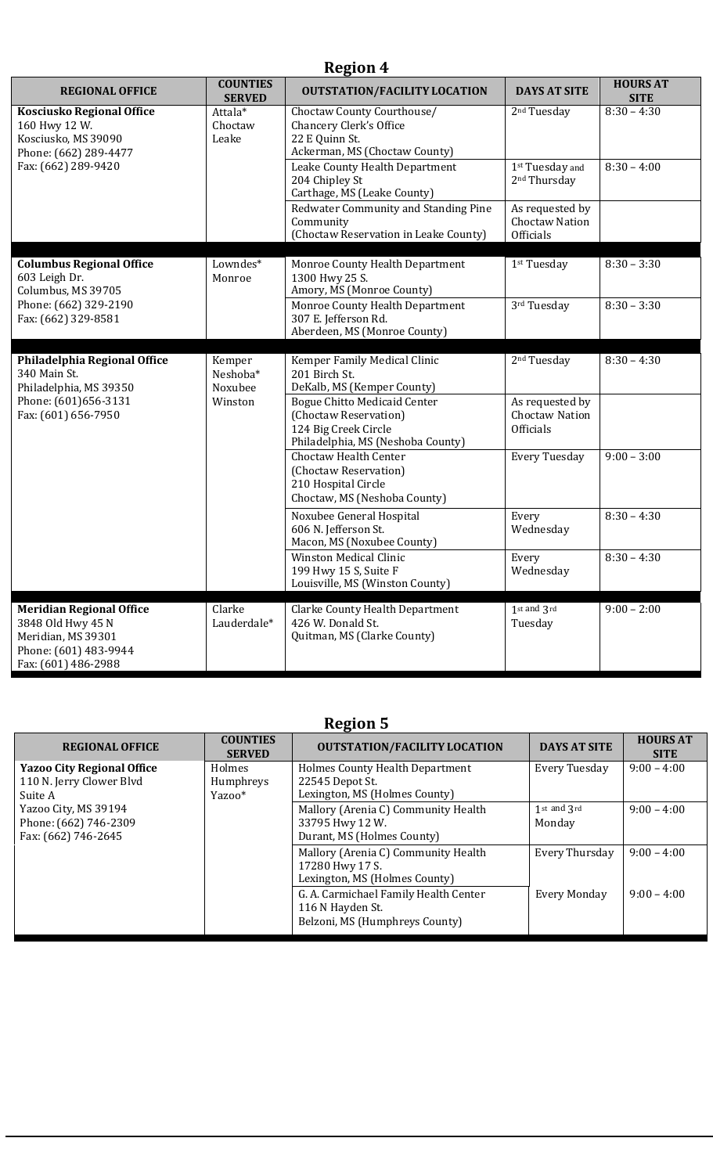| <b>REGIONAL OFFICE</b>                                                                                                     | <b>COUNTIES</b><br><b>SERVED</b> | <b>OUTSTATION/FACILITY LOCATION</b>                                                                                       | <b>DAYS AT SITE</b>                                          | <b>HOURS AT</b><br><b>SITE</b> |
|----------------------------------------------------------------------------------------------------------------------------|----------------------------------|---------------------------------------------------------------------------------------------------------------------------|--------------------------------------------------------------|--------------------------------|
| <b>Kosciusko Regional Office</b><br>160 Hwy 12 W.<br>Kosciusko, MS 39090<br>Phone: (662) 289-4477                          | Attala*<br>Choctaw<br>Leake      | Choctaw County Courthouse/<br>Chancery Clerk's Office<br>22 E Quinn St.<br>Ackerman, MS (Choctaw County)                  | 2 <sup>nd</sup> Tuesday                                      | $8:30 - 4:30$                  |
| Fax: (662) 289-9420                                                                                                        |                                  | Leake County Health Department<br>204 Chipley St<br>Carthage, MS (Leake County)                                           | 1st Tuesday and<br>2 <sup>nd</sup> Thursday                  | $8:30 - 4:00$                  |
|                                                                                                                            |                                  | Redwater Community and Standing Pine<br>Community<br>(Choctaw Reservation in Leake County)                                | As requested by<br><b>Choctaw Nation</b><br><b>Officials</b> |                                |
| <b>Columbus Regional Office</b><br>603 Leigh Dr.<br>Columbus, MS 39705                                                     | Lowndes*<br>Monroe               | Monroe County Health Department<br>1300 Hwy 25 S.<br>Amory, MS (Monroe County)                                            | 1 <sup>st</sup> Tuesday                                      | $8:30 - 3:30$                  |
| Phone: (662) 329-2190<br>Fax: (662) 329-8581                                                                               |                                  | Monroe County Health Department<br>307 E. Jefferson Rd.<br>Aberdeen, MS (Monroe County)                                   | 3rd Tuesday                                                  | $8:30 - 3:30$                  |
| Philadelphia Regional Office<br>340 Main St.<br>Philadelphia, MS 39350                                                     | Kemper<br>Neshoba*<br>Noxubee    | Kemper Family Medical Clinic<br>201 Birch St.<br>DeKalb, MS (Kemper County)                                               | 2 <sup>nd</sup> Tuesday                                      | $8:30 - 4:30$                  |
| Phone: (601)656-3131<br>Fax: (601) 656-7950                                                                                | Winston                          | <b>Bogue Chitto Medicaid Center</b><br>(Choctaw Reservation)<br>124 Big Creek Circle<br>Philadelphia, MS (Neshoba County) | As requested by<br>Choctaw Nation<br><b>Officials</b>        |                                |
|                                                                                                                            |                                  | Choctaw Health Center<br>(Choctaw Reservation)<br>210 Hospital Circle<br>Choctaw, MS (Neshoba County)                     | <b>Every Tuesday</b>                                         | $9:00 - 3:00$                  |
|                                                                                                                            |                                  | Noxubee General Hospital<br>606 N. Jefferson St.<br>Macon, MS (Noxubee County)                                            | Every<br>Wednesday                                           | $8:30 - 4:30$                  |
|                                                                                                                            |                                  | <b>Winston Medical Clinic</b><br>199 Hwy 15 S, Suite F<br>Louisville, MS (Winston County)                                 | Every<br>Wednesday                                           | $8:30 - 4:30$                  |
| <b>Meridian Regional Office</b><br>3848 Old Hwy 45 N<br>Meridian, MS 39301<br>Phone: (601) 483-9944<br>Fax: (601) 486-2988 | Clarke<br>Lauderdale*            | <b>Clarke County Health Department</b><br>426 W. Donald St.<br>Quitman, MS (Clarke County)                                | 1st and 3rd<br>Tuesday                                       | $9:00 - 2:00$                  |

| <b>REGIONAL OFFICE</b>            | <b>COUNTIES</b><br><b>SERVED</b> | <b>OUTSTATION/FACILITY LOCATION</b>    | <b>DAYS AT SITE</b> | <b>HOURS AT</b><br><b>SITE</b> |
|-----------------------------------|----------------------------------|----------------------------------------|---------------------|--------------------------------|
| <b>Yazoo City Regional Office</b> | <b>Holmes</b>                    | <b>Holmes County Health Department</b> | Every Tuesday       | $9:00 - 4:00$                  |
| 110 N. Jerry Clower Blvd          | Humphreys                        | 22545 Depot St.                        |                     |                                |
| Suite A                           | Yazoo*                           | Lexington, MS (Holmes County)          |                     |                                |
| Yazoo City, MS 39194              |                                  | Mallory (Arenia C) Community Health    | 1st and 3rd         | $9:00 - 4:00$                  |
| Phone: (662) 746-2309             |                                  | 33795 Hwy 12 W.                        | Monday              |                                |
| Fax: (662) 746-2645               |                                  | Durant, MS (Holmes County)             |                     |                                |
|                                   |                                  | Mallory (Arenia C) Community Health    | Every Thursday      | $9:00 - 4:00$                  |
|                                   |                                  | 17280 Hwy 17 S.                        |                     |                                |
|                                   |                                  | Lexington, MS (Holmes County)          |                     |                                |
|                                   |                                  | G. A. Carmichael Family Health Center  | <b>Every Monday</b> | $9:00 - 4:00$                  |
|                                   |                                  | 116 N Hayden St.                       |                     |                                |
|                                   |                                  | Belzoni, MS (Humphreys County)         |                     |                                |
|                                   |                                  |                                        |                     |                                |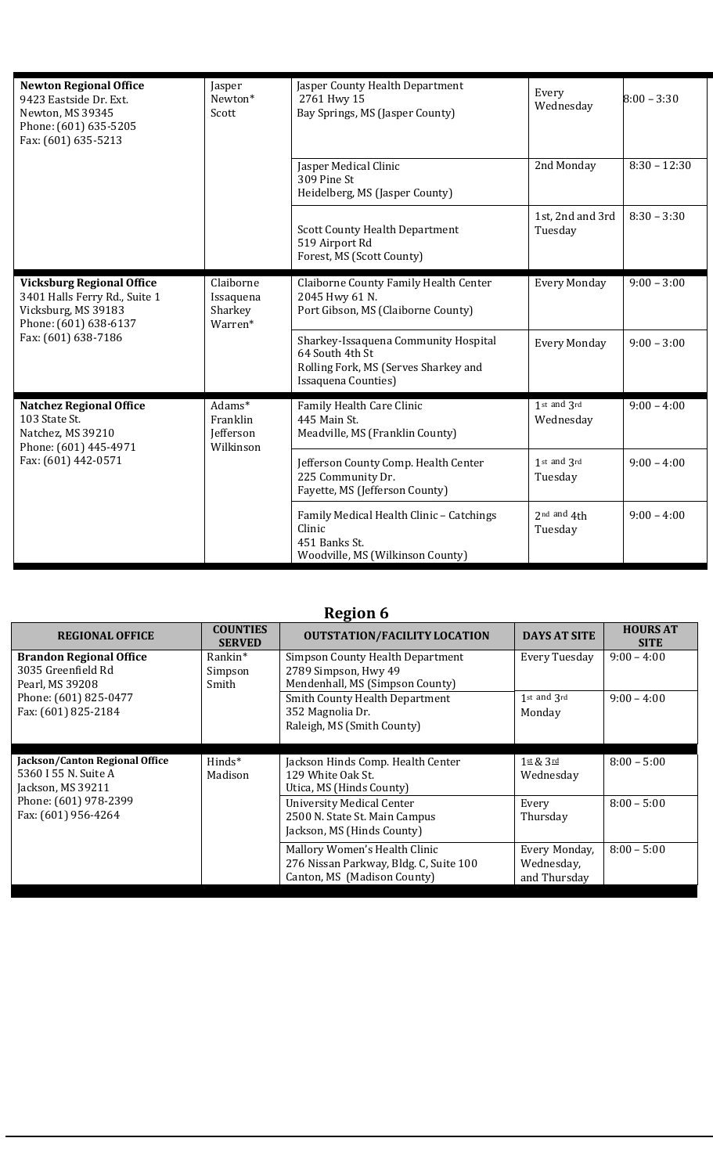| <b>Newton Regional Office</b><br>9423 Eastside Dr. Ext.<br>Newton, MS 39345<br>Phone: (601) 635-5205<br>Fax: (601) 635-5213              | Jasper<br>Newton*<br>Scott                   | Jasper County Health Department<br>2761 Hwy 15<br>Bay Springs, MS (Jasper County)                                      | Every<br>Wednesday          | $8:00 - 3:30$  |
|------------------------------------------------------------------------------------------------------------------------------------------|----------------------------------------------|------------------------------------------------------------------------------------------------------------------------|-----------------------------|----------------|
|                                                                                                                                          |                                              | Jasper Medical Clinic<br>309 Pine St<br>Heidelberg, MS (Jasper County)                                                 | 2nd Monday                  | $8:30 - 12:30$ |
|                                                                                                                                          |                                              | <b>Scott County Health Department</b><br>519 Airport Rd<br>Forest, MS (Scott County)                                   | 1st, 2nd and 3rd<br>Tuesday | $8:30 - 3:30$  |
| <b>Vicksburg Regional Office</b><br>3401 Halls Ferry Rd., Suite 1<br>Vicksburg, MS 39183<br>Phone: (601) 638-6137<br>Fax: (601) 638-7186 | Claiborne<br>Issaquena<br>Sharkey<br>Warren* | Claiborne County Family Health Center<br>2045 Hwy 61 N.<br>Port Gibson, MS (Claiborne County)                          | <b>Every Monday</b>         | $9:00 - 3:00$  |
|                                                                                                                                          |                                              | Sharkey-Issaquena Community Hospital<br>64 South 4th St<br>Rolling Fork, MS (Serves Sharkey and<br>Issaquena Counties) | <b>Every Monday</b>         | $9:00 - 3:00$  |
| <b>Natchez Regional Office</b><br>103 State St.<br>Natchez, MS 39210<br>Phone: (601) 445-4971<br>Fax: (601) 442-0571                     | Adams*<br>Franklin<br>Jefferson<br>Wilkinson | Family Health Care Clinic<br>445 Main St.<br>Meadville, MS (Franklin County)                                           | 1st and 3rd<br>Wednesday    | $9:00 - 4:00$  |
|                                                                                                                                          |                                              | Jefferson County Comp. Health Center<br>225 Community Dr.<br>Fayette, MS (Jefferson County)                            | 1st and 3rd<br>Tuesday      | $9:00 - 4:00$  |
|                                                                                                                                          |                                              | Family Medical Health Clinic - Catchings<br>Clinic<br>451 Banks St.<br>Woodville, MS (Wilkinson County)                | $2nd$ and $4th$<br>Tuesday  | $9:00 - 4:00$  |

| <b>REGIONAL OFFICE</b>                                                      | <b>COUNTIES</b><br><b>SERVED</b> | <b>OUTSTATION/FACILITY LOCATION</b>                                                             | <b>DAYS AT SITE</b>          | <b>HOURS AT</b><br><b>SITE</b> |
|-----------------------------------------------------------------------------|----------------------------------|-------------------------------------------------------------------------------------------------|------------------------------|--------------------------------|
| <b>Brandon Regional Office</b>                                              | Rankin*                          | Simpson County Health Department                                                                | Every Tuesday                | $9:00 - 4:00$                  |
| 3035 Greenfield Rd                                                          | Simpson                          | 2789 Simpson, Hwy 49                                                                            |                              |                                |
| Pearl, MS 39208                                                             | Smith                            | Mendenhall, MS (Simpson County)                                                                 |                              |                                |
| Phone: (601) 825-0477                                                       |                                  | <b>Smith County Health Department</b>                                                           | 1st and 3rd                  | $9:00 - 4:00$                  |
| Fax: (601) 825-2184                                                         |                                  | 352 Magnolia Dr.                                                                                | Monday                       |                                |
|                                                                             |                                  | Raleigh, MS (Smith County)                                                                      |                              |                                |
|                                                                             |                                  |                                                                                                 |                              |                                |
| Jackson/Canton Regional Office<br>5360 I 55 N. Suite A<br>Jackson, MS 39211 | $Hinds^*$<br>Madison             | Jackson Hinds Comp. Health Center<br>129 White Oak St.<br>Utica, MS (Hinds County)              | $1$ st & $3$ rd<br>Wednesday | $8:00 - 5:00$                  |
| Phone: (601) 978-2399<br>Fax: (601) 956-4264                                |                                  | <b>University Medical Center</b><br>2500 N. State St. Main Campus<br>Jackson, MS (Hinds County) | Every<br>Thursday            | $8:00 - 5:00$                  |
|                                                                             |                                  | Mallory Women's Health Clinic<br>276 Nissan Parkway, Bldg. C, Suite 100                         | Every Monday,<br>Wednesday,  | $8:00 - 5:00$                  |
|                                                                             |                                  | Canton, MS (Madison County)                                                                     | and Thursday                 |                                |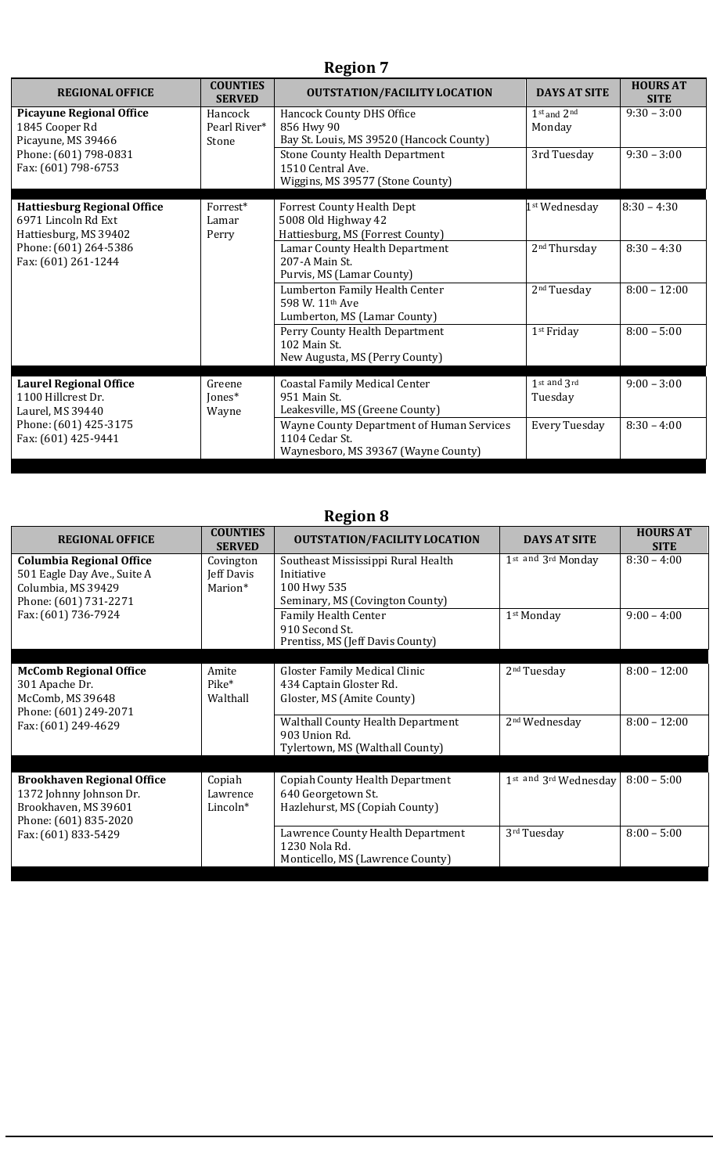| <b>REGIONAL OFFICE</b>                                                             | <b>COUNTIES</b><br><b>SERVED</b> | <b>OUTSTATION/FACILITY LOCATION</b>                                                                       | <b>DAYS AT SITE</b>       | <b>HOURS AT</b><br><b>SITE</b> |
|------------------------------------------------------------------------------------|----------------------------------|-----------------------------------------------------------------------------------------------------------|---------------------------|--------------------------------|
| <b>Picayune Regional Office</b><br>1845 Cooper Rd<br>Picayune, MS 39466            | Hancock<br>Pearl River*<br>Stone | Hancock County DHS Office<br>856 Hwy 90<br>Bay St. Louis, MS 39520 (Hancock County)                       | $1st$ and $2nd$<br>Monday | $9:30 - 3:00$                  |
| Phone: (601) 798-0831<br>Fax: (601) 798-6753                                       |                                  | <b>Stone County Health Department</b><br>1510 Central Ave.<br>Wiggins, MS 39577 (Stone County)            | 3rd Tuesday               | $9:30 - 3:00$                  |
| <b>Hattiesburg Regional Office</b><br>6971 Lincoln Rd Ext<br>Hattiesburg, MS 39402 | Forrest*<br>Lamar<br>Perry       | <b>Forrest County Health Dept</b><br>5008 Old Highway 42<br>Hattiesburg, MS (Forrest County)              | 1 <sup>st</sup> Wednesday | $8:30 - 4:30$                  |
| Phone: (601) 264-5386<br>Fax: (601) 261-1244                                       |                                  | Lamar County Health Department<br>207-A Main St.<br>Purvis, MS (Lamar County)                             | 2 <sup>nd</sup> Thursday  | $8:30 - 4:30$                  |
|                                                                                    |                                  | Lumberton Family Health Center<br>598 W. 11 <sup>th</sup> Ave<br>Lumberton, MS (Lamar County)             | 2 <sup>nd</sup> Tuesday   | $8:00 - 12:00$                 |
|                                                                                    |                                  | Perry County Health Department<br>102 Main St.<br>New Augusta, MS (Perry County)                          | 1 <sup>st</sup> Friday    | $8:00 - 5:00$                  |
| <b>Laurel Regional Office</b><br>1100 Hillcrest Dr.<br>Laurel, MS 39440            | Greene<br>Jones*<br>Wayne        | <b>Coastal Family Medical Center</b><br>951 Main St.<br>Leakesville, MS (Greene County)                   | 1st and 3rd<br>Tuesday    | $9:00 - 3:00$                  |
| Phone: (601) 425-3175<br>Fax: (601) 425-9441                                       |                                  | <b>Wayne County Department of Human Services</b><br>1104 Cedar St.<br>Waynesboro, MS 39367 (Wayne County) | <b>Every Tuesday</b>      | $8:30 - 4:00$                  |

| <b>REGIONAL OFFICE</b>                                                                                        | <b>COUNTIES</b><br><b>SERVED</b>       | <b>OUTSTATION/FACILITY LOCATION</b>                                                                | <b>DAYS AT SITE</b>       | <b>HOURS AT</b><br><b>SITE</b> |
|---------------------------------------------------------------------------------------------------------------|----------------------------------------|----------------------------------------------------------------------------------------------------|---------------------------|--------------------------------|
| <b>Columbia Regional Office</b><br>501 Eagle Day Ave., Suite A<br>Columbia, MS 39429<br>Phone: (601) 731-2271 | Covington<br>Jeff Davis<br>Marion*     | Southeast Mississippi Rural Health<br>Initiative<br>100 Hwy 535<br>Seminary, MS (Covington County) | 1st and 3rd Monday        | $8:30 - 4:00$                  |
| Fax: (601) 736-7924                                                                                           |                                        | Family Health Center<br>910 Second St.<br>Prentiss, MS (Jeff Davis County)                         | 1 <sup>st</sup> Monday    | $9:00 - 4:00$                  |
| <b>McComb Regional Office</b><br>301 Apache Dr.<br>McComb, MS 39648                                           | Amite<br>Pike <sup>*</sup><br>Walthall | Gloster Family Medical Clinic<br>434 Captain Gloster Rd.<br>Gloster, MS (Amite County)             | 2 <sup>nd</sup> Tuesday   | $8:00 - 12:00$                 |
| Phone: (601) 249-2071<br>Fax: (601) 249-4629                                                                  |                                        | <b>Walthall County Health Department</b><br>903 Union Rd.<br>Tylertown, MS (Walthall County)       | 2 <sup>nd</sup> Wednesday | $8:00 - 12:00$                 |
| <b>Brookhaven Regional Office</b><br>1372 Johnny Johnson Dr.<br>Brookhaven, MS 39601<br>Phone: (601) 835-2020 | Copiah<br>Lawrence<br>Lincoln*         | <b>Copiah County Health Department</b><br>640 Georgetown St.<br>Hazlehurst, MS (Copiah County)     | 1st and 3rd Wednesday     | $8:00 - 5:00$                  |
| Fax: (601) 833-5429                                                                                           |                                        | Lawrence County Health Department<br>1230 Nola Rd.<br>Monticello, MS (Lawrence County)             | 3rd Tuesday               | $8:00 - 5:00$                  |